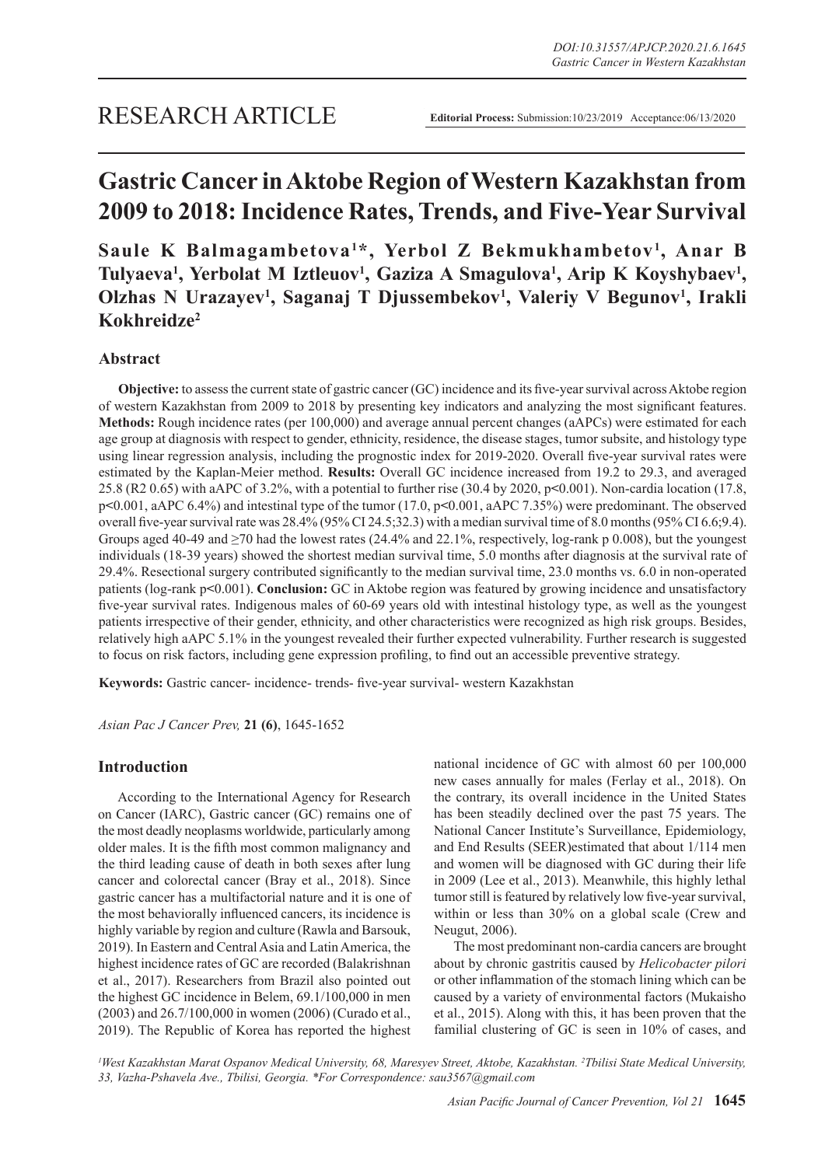# **Gastric Cancer in Aktobe Region of Western Kazakhstan from 2009 to 2018: Incidence Rates, Trends, and Five-Year Survival**

Saule K Balmagambetova<sup>1\*</sup>, Yerbol Z Bekmukhambetov<sup>1</sup>, Anar B Tulyaeva<sup>1</sup>, Yerbolat M Iztleuov<sup>1</sup>, Gaziza A Smagulova<sup>1</sup>, Arip K Koyshybaev<sup>1</sup>, Olzhas N Urazayev<sup>1</sup>, Saganaj T Djussembekov<sup>1</sup>, Valeriy V Begunov<sup>1</sup>, Irakli **Kokhreidze2**

# **Abstract**

**Objective:** to assess the current state of gastric cancer (GC) incidence and its five-year survival across Aktobe region of western Kazakhstan from 2009 to 2018 by presenting key indicators and analyzing the most significant features. **Methods:** Rough incidence rates (per 100,000) and average annual percent changes (aAPCs) were estimated for each age group at diagnosis with respect to gender, ethnicity, residence, the disease stages, tumor subsite, and histology type using linear regression analysis, including the prognostic index for 2019-2020. Overall five-year survival rates were estimated by the Kaplan-Meier method. **Results:** Overall GC incidence increased from 19.2 to 29.3, and averaged 25.8 (R2 0.65) with aAPC of 3.2%, with a potential to further rise (30.4 by 2020, p**<**0.001). Non-cardia location (17.8, p**<**0.001, aAPC 6.4%) and intestinal type of the tumor (17.0, p**<**0.001, aAPC 7.35%) were predominant. The observed overall five-year survival rate was 28.4% (95% CI 24.5;32.3) with a median survival time of 8.0 months (95% CI 6.6;9.4). Groups aged 40-49 and  $\geq$ 70 had the lowest rates (24.4% and 22.1%, respectively, log-rank p 0.008), but the youngest individuals (18-39 years) showed the shortest median survival time, 5.0 months after diagnosis at the survival rate of 29.4%. Resectional surgery contributed significantly to the median survival time, 23.0 months vs. 6.0 in non-operated patients (log-rank p**<**0.001). **Conclusion:** GC in Aktobe region was featured by growing incidence and unsatisfactory five-year survival rates. Indigenous males of 60-69 years old with intestinal histology type, as well as the youngest patients irrespective of their gender, ethnicity, and other characteristics were recognized as high risk groups. Besides, relatively high aAPC 5.1% in the youngest revealed their further expected vulnerability. Further research is suggested to focus on risk factors, including gene expression profiling, to find out an accessible preventive strategy.

**Keywords:** Gastric cancer- incidence- trends- five-year survival- western Kazakhstan

*Asian Pac J Cancer Prev,* **21 (6)**, 1645-1652

# **Introduction**

According to the International Agency for Research on Cancer (IARC), Gastric cancer (GC) remains one of the most deadly neoplasms worldwide, particularly among older males. It is the fifth most common malignancy and the third leading cause of death in both sexes after lung cancer and colorectal cancer (Bray et al., 2018). Since gastric cancer has a multifactorial nature and it is one of the most behaviorally influenced cancers, its incidence is highly variable by region and culture (Rawla and Barsouk, 2019). In Eastern and Central Asia and Latin America, the highest incidence rates of GC are recorded (Balakrishnan et al., 2017). Researchers from Brazil also pointed out the highest GC incidence in Belem, 69.1/100,000 in men (2003) and 26.7/100,000 in women (2006) (Curado et al., 2019). The Republic of Korea has reported the highest national incidence of GC with almost 60 per 100,000 new cases annually for males (Ferlay et al., 2018). On the contrary, its overall incidence in the United States has been steadily declined over the past 75 years. The National Cancer Institute's Surveillance, Epidemiology, and End Results (SEER)estimated that about 1/114 men and women will be diagnosed with GC during their life in 2009 (Lee et al., 2013). Meanwhile, this highly lethal tumor still is featured by relatively low five-year survival, within or less than 30% on a global scale (Crew and Neugut, 2006).

The most predominant non-cardia cancers are brought about by chronic gastritis caused by *Helicobacter pilori* or other inflammation of the stomach lining which can be caused by a variety of environmental factors (Mukaisho et al., 2015). Along with this, it has been proven that the familial clustering of GC is seen in 10% of cases, and

*1 West Kazakhstan Marat Ospanov Medical University, 68, Maresyev Street, Aktobe, Kazakhstan. 2 Tbilisi State Medical University, 33, Vazha-Pshavela Ave., Tbilisi, Georgia. \*For Correspondence: sau3567@gmail.com*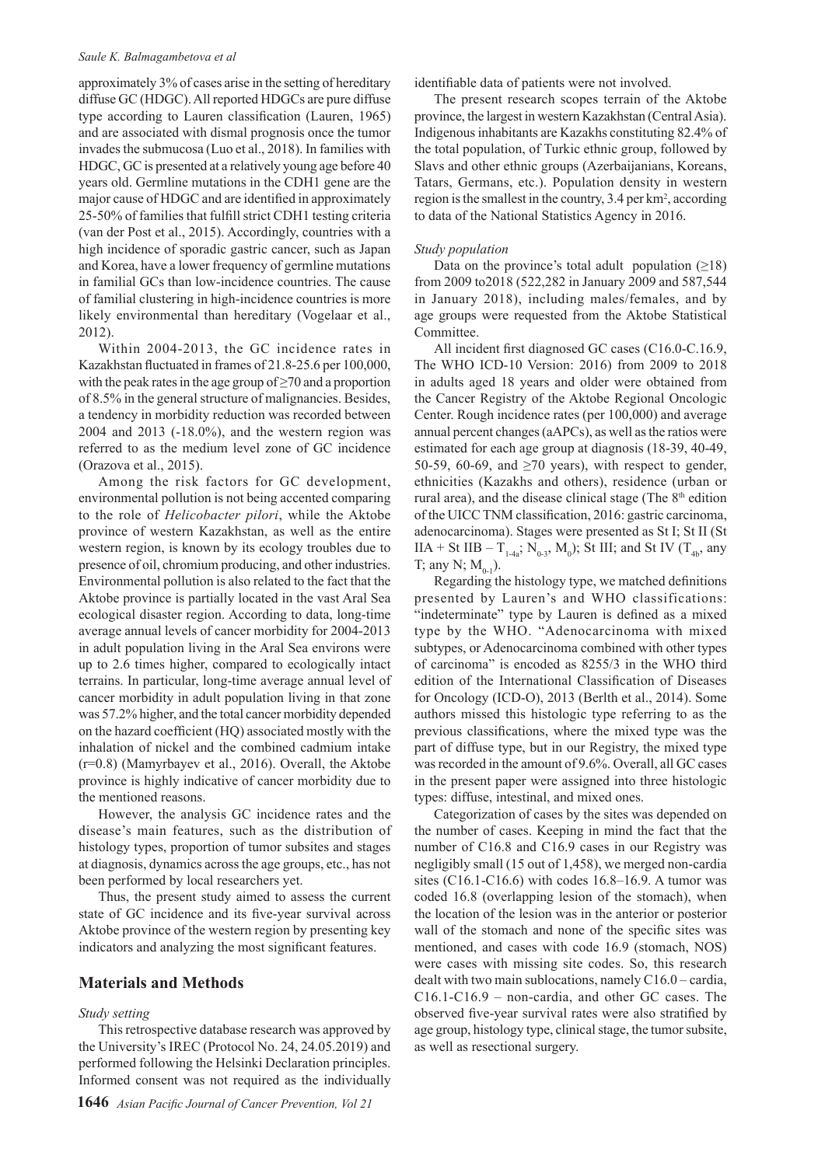#### *Saule K. Balmagambetova et al*

approximately 3% of cases arise in the setting of hereditary diffuse GC (HDGC). All reported HDGCs are pure diffuse type according to Lauren classification (Lauren, 1965) and are associated with dismal prognosis once the tumor invades the submucosa (Luo et al., 2018). In families with HDGC, GC is presented at a relatively young age before 40 years old. Germline mutations in the CDH1 gene are the major cause of HDGC and are identified in approximately 25-50% of families that fulfill strict CDH1 testing criteria (van der Post et al., 2015). Accordingly, countries with a high incidence of sporadic gastric cancer, such as Japan and Korea, have a lower frequency of germline mutations in familial GCs than low-incidence countries. The cause of familial clustering in high-incidence countries is more likely environmental than hereditary (Vogelaar et al., 2012).

Within 2004-2013, the GC incidence rates in Kazakhstan fluctuated in frames of 21.8-25.6 per 100,000, with the peak rates in the age group of  $\geq$ 70 and a proportion of 8.5% in the general structure of malignancies. Besides, a tendency in morbidity reduction was recorded between 2004 and 2013 (-18.0%), and the western region was referred to as the medium level zone of GC incidence (Orazova et al., 2015).

Among the risk factors for GC development, environmental pollution is not being accented comparing to the role of *Helicobacter pilori*, while the Aktobe province of western Kazakhstan, as well as the entire western region, is known by its ecology troubles due to presence of oil, chromium producing, and other industries. Environmental pollution is also related to the fact that the Aktobe province is partially located in the vast Aral Sea ecological disaster region. According to data, long-time average annual levels of cancer morbidity for 2004-2013 in adult population living in the Aral Sea environs were up to 2.6 times higher, compared to ecologically intact terrains. In particular, long-time average annual level of cancer morbidity in adult population living in that zone was 57.2% higher, and the total cancer morbidity depended on the hazard coefficient (HQ) associated mostly with the inhalation of nickel and the combined cadmium intake (r=0.8) (Mamyrbayev et al., 2016). Overall, the Aktobe province is highly indicative of cancer morbidity due to the mentioned reasons.

However, the analysis GC incidence rates and the disease's main features, such as the distribution of histology types, proportion of tumor subsites and stages at diagnosis, dynamics across the age groups, etc., has not been performed by local researchers yet.

Thus, the present study aimed to assess the current state of GC incidence and its five-year survival across Aktobe province of the western region by presenting key indicators and analyzing the most significant features.

### **Materials and Methods**

#### *Study setting*

This retrospective database research was approved by the University's IREC (Protocol No. 24, 24.05.2019) and performed following the Helsinki Declaration principles. Informed consent was not required as the individually

identifiable data of patients were not involved.

The present research scopes terrain of the Aktobe province, the largest in western Kazakhstan (Central Asia). Indigenous inhabitants are Kazakhs constituting 82.4% of the total population, of Turkic ethnic group, followed by Slavs and other ethnic groups (Azerbaijanians, Koreans, Tatars, Germans, etc.). Population density in western region is the smallest in the country, 3.4 per km<sup>2</sup>, according to data of the National Statistics Agency in 2016.

#### *Study population*

Data on the province's total adult population  $(≥18)$ from 2009 to2018 (522,282 in January 2009 and 587,544 in January 2018), including males/females, and by age groups were requested from the Aktobe Statistical Committee.

All incident first diagnosed GC cases (C16.0-C.16.9, The WHO ICD-10 Version: 2016) from 2009 to 2018 in adults aged 18 years and older were obtained from the Cancer Registry of the Aktobe Regional Oncologic Center. Rough incidence rates (per 100,000) and average annual percent changes (aAPCs), as well as the ratios were estimated for each age group at diagnosis (18-39, 40-49, 50-59, 60-69, and  $\geq$ 70 years), with respect to gender, ethnicities (Kazakhs and others), residence (urban or rural area), and the disease clinical stage (The 8<sup>th</sup> edition of the UICC TNM classification, 2016: gastric carcinoma, adenocarcinoma). Stages were presented as St I; St II (St  $IIA + St IIB - T<sub>1-4a</sub>; N<sub>0-3</sub>, M<sub>0</sub>); St III; and St IV (T<sub>4b</sub>, any$ T; any N;  $M_{0.1}$ ).

Regarding the histology type, we matched definitions presented by Lauren's and WHO classifications: "indeterminate" type by Lauren is defined as a mixed type by the WHO. "Adenocarcinoma with mixed subtypes, or Adenocarcinoma combined with other types of carcinoma" is encoded as 8255/3 in the WHO third edition of the International Classification of Diseases for Oncology (ICD-O), 2013 (Berlth et al., 2014). Some authors missed this histologic type referring to as the previous classifications, where the mixed type was the part of diffuse type, but in our Registry, the mixed type was recorded in the amount of 9.6%. Overall, all GC cases in the present paper were assigned into three histologic types: diffuse, intestinal, and mixed ones.

Categorization of cases by the sites was depended on the number of cases. Keeping in mind the fact that the number of C16.8 and C16.9 cases in our Registry was negligibly small (15 out of 1,458), we merged non-cardia sites (C16.1-C16.6) with codes 16.8–16.9. A tumor was coded 16.8 (overlapping lesion of the stomach), when the location of the lesion was in the anterior or posterior wall of the stomach and none of the specific sites was mentioned, and cases with code 16.9 (stomach, NOS) were cases with missing site codes. So, this research dealt with two main sublocations, namely C16.0 – cardia, C16.1-C16.9 – non-cardia, and other GC cases. The observed five-year survival rates were also stratified by age group, histology type, clinical stage, the tumor subsite, as well as resectional surgery.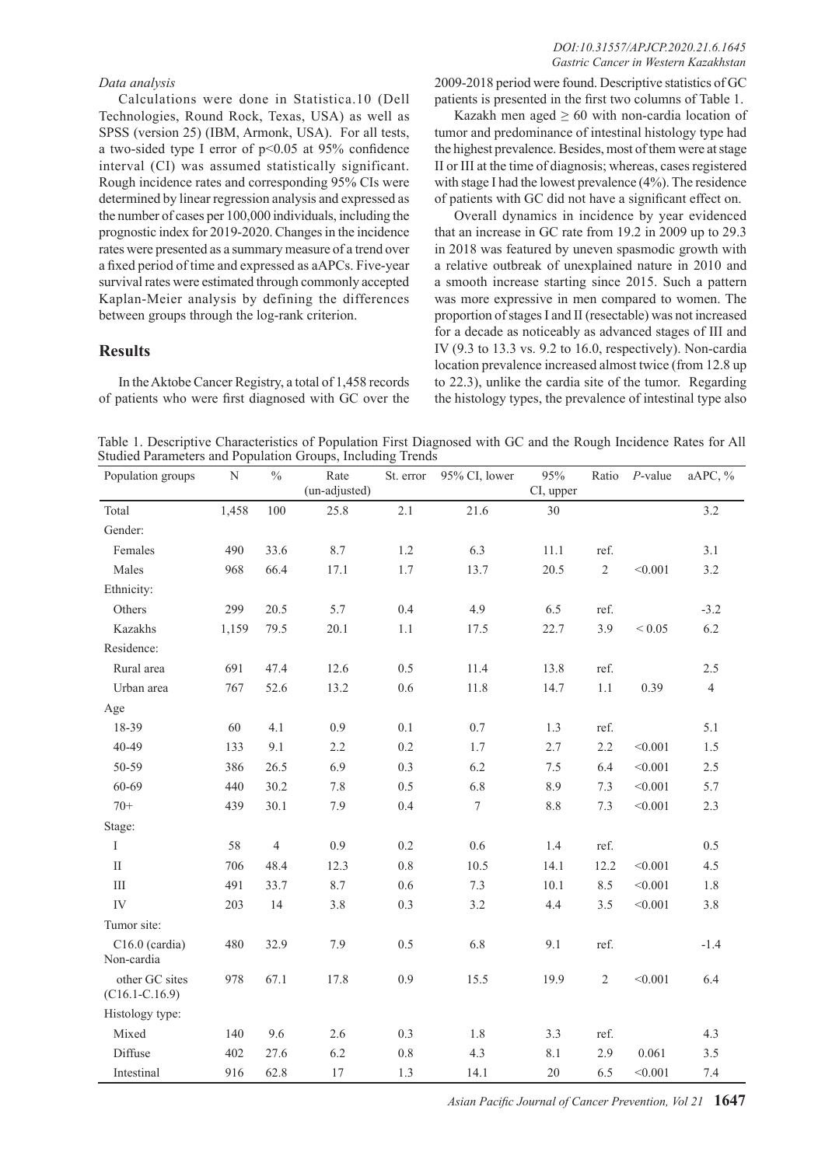#### *DOI:10.31557/APJCP.2020.21.6.1645 Gastric Cancer in Western Kazakhstan*

## *Data analysis*

Calculations were done in Statistica.10 (Dell Technologies, Round Rock, Texas, USA) as well as SPSS (version 25) (IBM, Armonk, USA). For all tests, a two-sided type I error of p<0.05 at 95% confidence interval (CI) was assumed statistically significant. Rough incidence rates and corresponding 95% CIs were determined by linear regression analysis and expressed as the number of cases per 100,000 individuals, including the prognostic index for 2019-2020. Changes in the incidence rates were presented as a summary measure of a trend over a fixed period of time and expressed as aAPCs. Five-year survival rates were estimated through commonly accepted Kaplan-Meier analysis by defining the differences between groups through the log-rank criterion.

## **Results**

In the Aktobe Cancer Registry, a total of 1,458 records of patients who were first diagnosed with GC over the

2009-2018 period were found. Descriptive statistics of GC patients is presented in the first two columns of Table 1.

Kazakh men aged  $\geq 60$  with non-cardia location of tumor and predominance of intestinal histology type had the highest prevalence. Besides, most of them were at stage II or III at the time of diagnosis; whereas, cases registered with stage I had the lowest prevalence (4%). The residence of patients with GC did not have a significant effect on.

Overall dynamics in incidence by year evidenced that an increase in GC rate from 19.2 in 2009 up to 29.3 in 2018 was featured by uneven spasmodic growth with a relative outbreak of unexplained nature in 2010 and a smooth increase starting since 2015. Such a pattern was more expressive in men compared to women. The proportion of stages I and II (resectable) was not increased for a decade as noticeably as advanced stages of III and IV (9.3 to 13.3 vs. 9.2 to 16.0, respectively). Non-cardia location prevalence increased almost twice (from 12.8 up to 22.3), unlike the cardia site of the tumor. Regarding the histology types, the prevalence of intestinal type also

Table 1. Descriptive Characteristics of Population First Diagnosed with GC and the Rough Incidence Rates for All Studied Parameters and Population Groups, Including Trends

| Population groups                    | N     | $\frac{0}{0}$  | Rate<br>(un-adjusted) | St. error | 95% CI, lower    | 95%<br>CI, upper |            | Ratio P-value | aAPC, %        |
|--------------------------------------|-------|----------------|-----------------------|-----------|------------------|------------------|------------|---------------|----------------|
| Total                                | 1,458 | 100            | 25.8                  | 2.1       | 21.6             | 30               |            |               | 3.2            |
| Gender:                              |       |                |                       |           |                  |                  |            |               |                |
| Females                              | 490   | 33.6           | 8.7                   | $1.2\,$   | 6.3              | 11.1             | ref.       |               | 3.1            |
| Males                                | 968   | 66.4           | 17.1                  | 1.7       | 13.7             | 20.5             | $\sqrt{2}$ | < 0.001       | 3.2            |
| Ethnicity:                           |       |                |                       |           |                  |                  |            |               |                |
| Others                               | 299   | 20.5           | 5.7                   | 0.4       | 4.9              | 6.5              | ref.       |               | $-3.2$         |
| Kazakhs                              | 1,159 | 79.5           | 20.1                  | 1.1       | 17.5             | 22.7             | 3.9        | ${}< 0.05$    | 6.2            |
| Residence:                           |       |                |                       |           |                  |                  |            |               |                |
| Rural area                           | 691   | 47.4           | 12.6                  | 0.5       | 11.4             | 13.8             | ref.       |               | 2.5            |
| Urban area                           | 767   | 52.6           | 13.2                  | $0.6\,$   | 11.8             | 14.7             | 1.1        | 0.39          | $\overline{4}$ |
| Age                                  |       |                |                       |           |                  |                  |            |               |                |
| 18-39                                | 60    | 4.1            | 0.9                   | 0.1       | 0.7              | 1.3              | ref.       |               | 5.1            |
| 40-49                                | 133   | 9.1            | 2.2                   | 0.2       | 1.7              | 2.7              | 2.2        | < 0.001       | 1.5            |
| 50-59                                | 386   | 26.5           | 6.9                   | 0.3       | 6.2              | 7.5              | 6.4        | < 0.001       | 2.5            |
| 60-69                                | 440   | 30.2           | 7.8                   | 0.5       | 6.8              | 8.9              | 7.3        | < 0.001       | 5.7            |
| $70+$                                | 439   | 30.1           | 7.9                   | 0.4       | $\boldsymbol{7}$ | 8.8              | 7.3        | < 0.001       | 2.3            |
| Stage:                               |       |                |                       |           |                  |                  |            |               |                |
| $\rm I$                              | 58    | $\overline{4}$ | 0.9                   | $0.2\,$   | 0.6              | 1.4              | ref.       |               | 0.5            |
| $\mathop{\mathrm{II}}\nolimits$      | 706   | 48.4           | 12.3                  | $0.8\,$   | 10.5             | 14.1             | 12.2       | < 0.001       | 4.5            |
| $\rm III$                            | 491   | 33.7           | 8.7                   | 0.6       | 7.3              | 10.1             | 8.5        | < 0.001       | 1.8            |
| ${\rm IV}$                           | 203   | 14             | 3.8                   | 0.3       | 3.2              | 4.4              | 3.5        | < 0.001       | 3.8            |
| Tumor site:                          |       |                |                       |           |                  |                  |            |               |                |
| $C16.0$ (cardia)<br>Non-cardia       | 480   | 32.9           | 7.9                   | 0.5       | 6.8              | 9.1              | ref.       |               | $-1.4$         |
| other GC sites<br>$(C16.1 - C.16.9)$ | 978   | 67.1           | 17.8                  | 0.9       | 15.5             | 19.9             | $\sqrt{2}$ | < 0.001       | 6.4            |
| Histology type:                      |       |                |                       |           |                  |                  |            |               |                |
| Mixed                                | 140   | 9.6            | 2.6                   | 0.3       | 1.8              | 3.3              | ref.       |               | 4.3            |
| Diffuse                              | 402   | 27.6           | 6.2                   | $0.8\,$   | 4.3              | 8.1              | 2.9        | 0.061         | 3.5            |
| Intestinal                           | 916   | 62.8           | 17                    | 1.3       | 14.1             | $20\,$           | 6.5        | < 0.001       | 7.4            |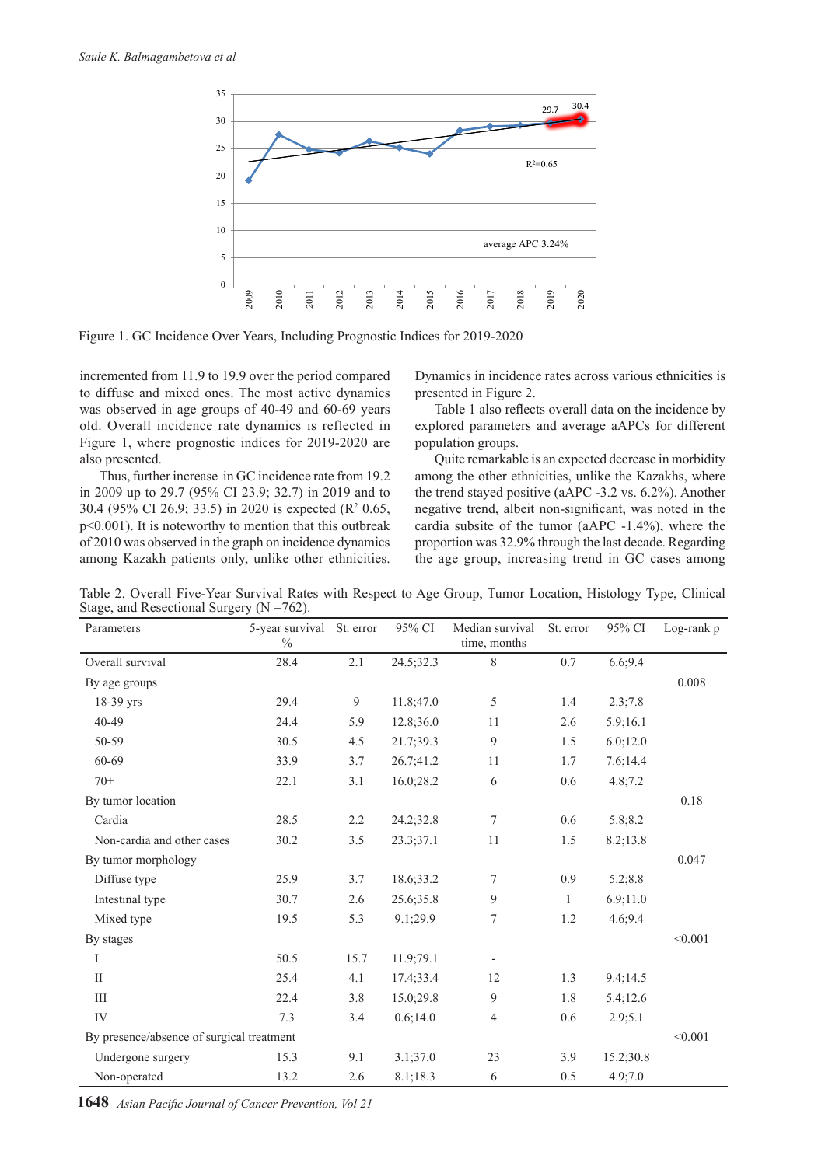

Figure 1. GC Incidence Over Years, Including Prognostic Indices for 2019-2020

incremented from 11.9 to 19.9 over the period compared to diffuse and mixed ones. The most active dynamics was observed in age groups of 40-49 and 60-69 years old. Overall incidence rate dynamics is reflected in Figure 1, where prognostic indices for 2019-2020 are also presented.

Thus, further increase in GC incidence rate from 19.2 in 2009 up to 29.7 (95% CI 23.9; 32.7) in 2019 and to 30.4 (95% CI 26.9; 33.5) in 2020 is expected (R<sup>2</sup> 0.65, p<0.001). It is noteworthy to mention that this outbreak of 2010 was observed in the graph on incidence dynamics among Kazakh patients only, unlike other ethnicities.

Dynamics in incidence rates across various ethnicities is presented in Figure 2.

Table 1 also reflects overall data on the incidence by explored parameters and average aAPCs for different population groups.

Quite remarkable is an expected decrease in morbidity among the other ethnicities, unlike the Kazakhs, where the trend stayed positive (aAPC -3.2 vs. 6.2%). Another negative trend, albeit non-significant, was noted in the cardia subsite of the tumor (aAPC -1.4%), where the proportion was 32.9% through the last decade. Regarding the age group, increasing trend in GC cases among

Table 2. Overall Five-Year Survival Rates with Respect to Age Group, Tumor Location, Histology Type, Clinical Stage, and Resectional Surgery (N =762).

| Parameters                                | 5-year survival<br>$\%$ | St. error | 95% CI    | Median survival<br>time, months | St. error    | 95% CI    | $Log-rank p$ |  |
|-------------------------------------------|-------------------------|-----------|-----------|---------------------------------|--------------|-----------|--------------|--|
| Overall survival                          | 28.4                    | 2.1       | 24.5;32.3 | 8                               | 0.7          | 6.6;9.4   |              |  |
| By age groups                             |                         |           |           |                                 |              |           | 0.008        |  |
| 18-39 yrs                                 | 29.4                    | 9         | 11.8;47.0 | 5                               | 1.4          | 2.3;7.8   |              |  |
| 40-49                                     | 24.4                    | 5.9       | 12.8;36.0 | 11                              | 2.6          | 5.9;16.1  |              |  |
| 50-59                                     | 30.5                    | 4.5       | 21.7;39.3 | 9                               | 1.5          | 6.0;12.0  |              |  |
| 60-69                                     | 33.9                    | 3.7       | 26.7;41.2 | 11                              | 1.7          | 7.6;14.4  |              |  |
| $70+$                                     | 22.1                    | 3.1       | 16.0;28.2 | $\sqrt{6}$                      | 0.6          | 4.8;7.2   |              |  |
| By tumor location                         |                         |           |           |                                 |              |           | 0.18         |  |
| Cardia                                    | 28.5                    | 2.2       | 24.2;32.8 | 7                               | 0.6          | 5.8;8.2   |              |  |
| Non-cardia and other cases                | 30.2                    | 3.5       | 23.3;37.1 | 11                              | 1.5          | 8.2;13.8  |              |  |
| By tumor morphology                       |                         |           |           |                                 |              |           | 0.047        |  |
| Diffuse type                              | 25.9                    | 3.7       | 18.6;33.2 | 7                               | 0.9          | 5.2;8.8   |              |  |
| Intestinal type                           | 30.7                    | 2.6       | 25.6;35.8 | 9                               | $\mathbf{1}$ | 6.9;11.0  |              |  |
| Mixed type                                | 19.5                    | 5.3       | 9.1;29.9  | $\boldsymbol{7}$                | 1.2          | 4.6;9.4   |              |  |
| By stages                                 |                         |           |           |                                 |              |           | < 0.001      |  |
| I                                         | 50.5                    | 15.7      | 11.9;79.1 |                                 |              |           |              |  |
| $\rm{II}$                                 | 25.4                    | 4.1       | 17.4;33.4 | 12                              | 1.3          | 9.4;14.5  |              |  |
| Ш                                         | 22.4                    | 3.8       | 15.0;29.8 | 9                               | 1.8          | 5.4;12.6  |              |  |
| IV                                        | 7.3                     | 3.4       | 0.6;14.0  | $\overline{4}$                  | 0.6          | 2.9;5.1   |              |  |
| By presence/absence of surgical treatment |                         |           |           |                                 |              |           |              |  |
| Undergone surgery                         | 15.3                    | 9.1       | 3.1;37.0  | 23                              | 3.9          | 15.2;30.8 |              |  |
| Non-operated                              | 13.2                    | 2.6       | 8.1;18.3  | 6                               | 0.5          | 4.9;7.0   |              |  |

**1648** *Asian Pacific Journal of Cancer Prevention, Vol 21*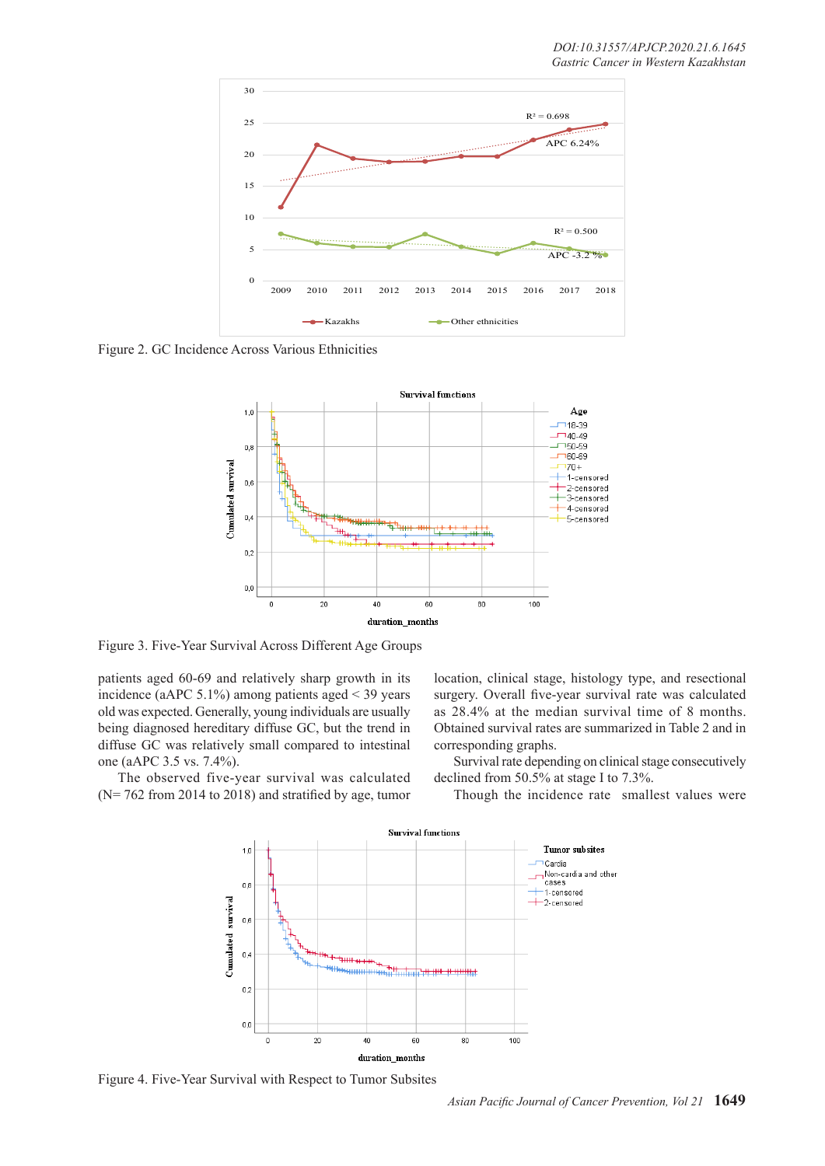

Figure 2. GC Incidence Across Various Ethnicities



Figure 3. Five-Year Survival Across Different Age Groups

patients aged 60-69 and relatively sharp growth in its incidence (aAPC 5.1%) among patients aged < 39 years old was expected. Generally, young individuals are usually being diagnosed hereditary diffuse GC, but the trend in diffuse GC was relatively small compared to intestinal one (aAPC 3.5 vs. 7.4%).

The observed five-year survival was calculated (N= 762 from 2014 to 2018) and stratified by age, tumor location, clinical stage, histology type, and resectional surgery. Overall five-year survival rate was calculated as 28.4% at the median survival time of 8 months. Obtained survival rates are summarized in Table 2 and in corresponding graphs.

Survival rate depending on clinical stage consecutively declined from 50.5% at stage I to 7.3%.

Though the incidence rate smallest values were



Figure 4. Five-Year Survival with Respect to Tumor Subsites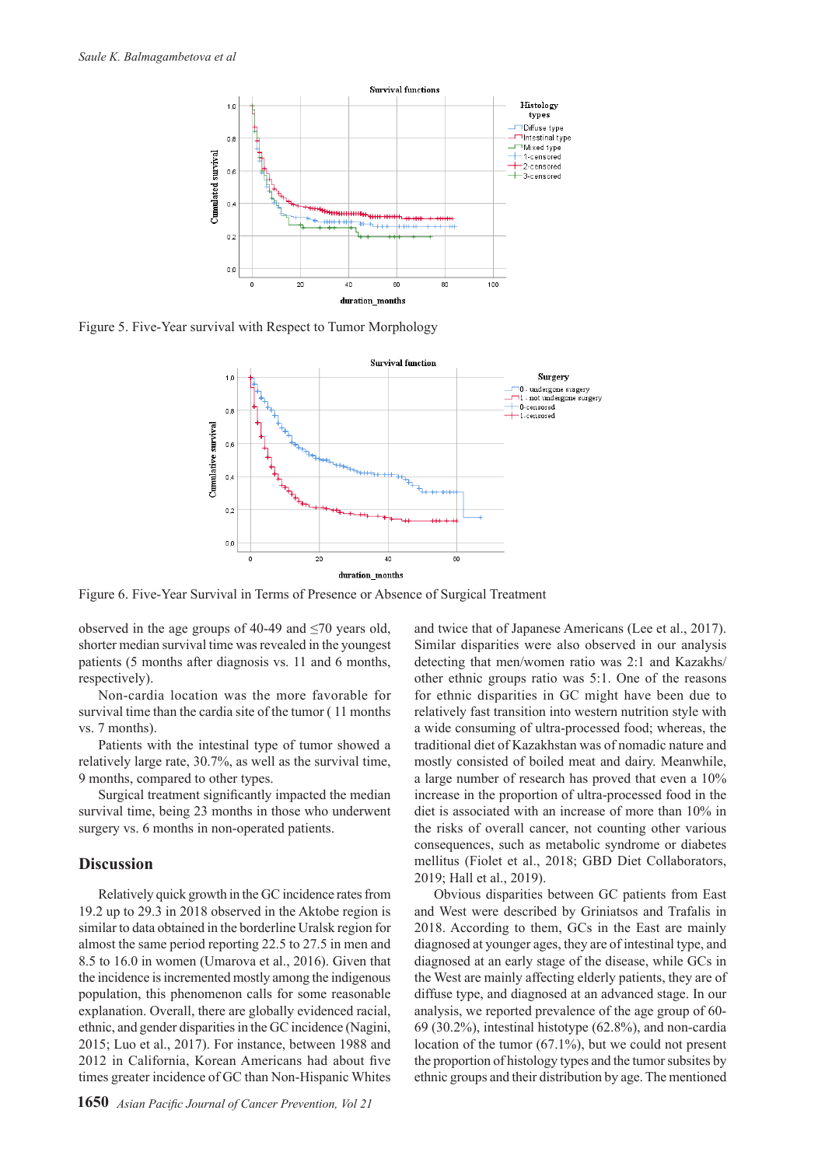

Figure 5. Five-Year survival with Respect to Tumor Morphology



Figure 6. Five-Year Survival in Terms of Presence or Absence of Surgical Treatment

observed in the age groups of 40-49 and  $\leq$ 70 years old, shorter median survival time was revealed in the youngest patients (5 months after diagnosis vs. 11 and 6 months, respectively).

Non-cardia location was the more favorable for survival time than the cardia site of the tumor ( 11 months vs. 7 months).

Patients with the intestinal type of tumor showed a relatively large rate, 30.7%, as well as the survival time, 9 months, compared to other types.

Surgical treatment significantly impacted the median survival time, being 23 months in those who underwent surgery vs. 6 months in non-operated patients.

#### **Discussion**

Relatively quick growth in the GC incidence rates from 19.2 up to 29.3 in 2018 observed in the Aktobe region is similar to data obtained in the borderline Uralsk region for almost the same period reporting 22.5 to 27.5 in men and 8.5 to 16.0 in women (Umarova et al., 2016). Given that the incidence is incremented mostly among the indigenous population, this phenomenon calls for some reasonable explanation. Overall, there are globally evidenced racial, ethnic, and gender disparities in the GC incidence (Nagini, 2015; Luo et al., 2017). For instance, between 1988 and 2012 in California, Korean Americans had about five times greater incidence of GC than Non-Hispanic Whites and twice that of Japanese Americans (Lee et al., 2017). Similar disparities were also observed in our analysis detecting that men/women ratio was 2:1 and Kazakhs/ other ethnic groups ratio was 5:1. One of the reasons for ethnic disparities in GC might have been due to relatively fast transition into western nutrition style with a wide consuming of ultra-processed food; whereas, the traditional diet of Kazakhstan was of nomadic nature and mostly consisted of boiled meat and dairy. Meanwhile, a large number of research has proved that even a 10% increase in the proportion of ultra-processed food in the diet is associated with an increase of more than 10% in the risks of overall cancer, not counting other various consequences, such as metabolic syndrome or diabetes mellitus (Fiolet et al., 2018; GBD Diet Collaborators, 2019; Hall et al., 2019).

Obvious disparities between GC patients from East and West were described by Griniatsos and Trafalis in 2018. According to them, GCs in the East are mainly diagnosed at younger ages, they are of intestinal type, and diagnosed at an early stage of the disease, while GCs in the West are mainly affecting elderly patients, they are of diffuse type, and diagnosed at an advanced stage. In our analysis, we reported prevalence of the age group of 60- 69 (30.2%), intestinal histotype (62.8%), and non-cardia location of the tumor (67.1%), but we could not present the proportion of histology types and the tumor subsites by ethnic groups and their distribution by age. The mentioned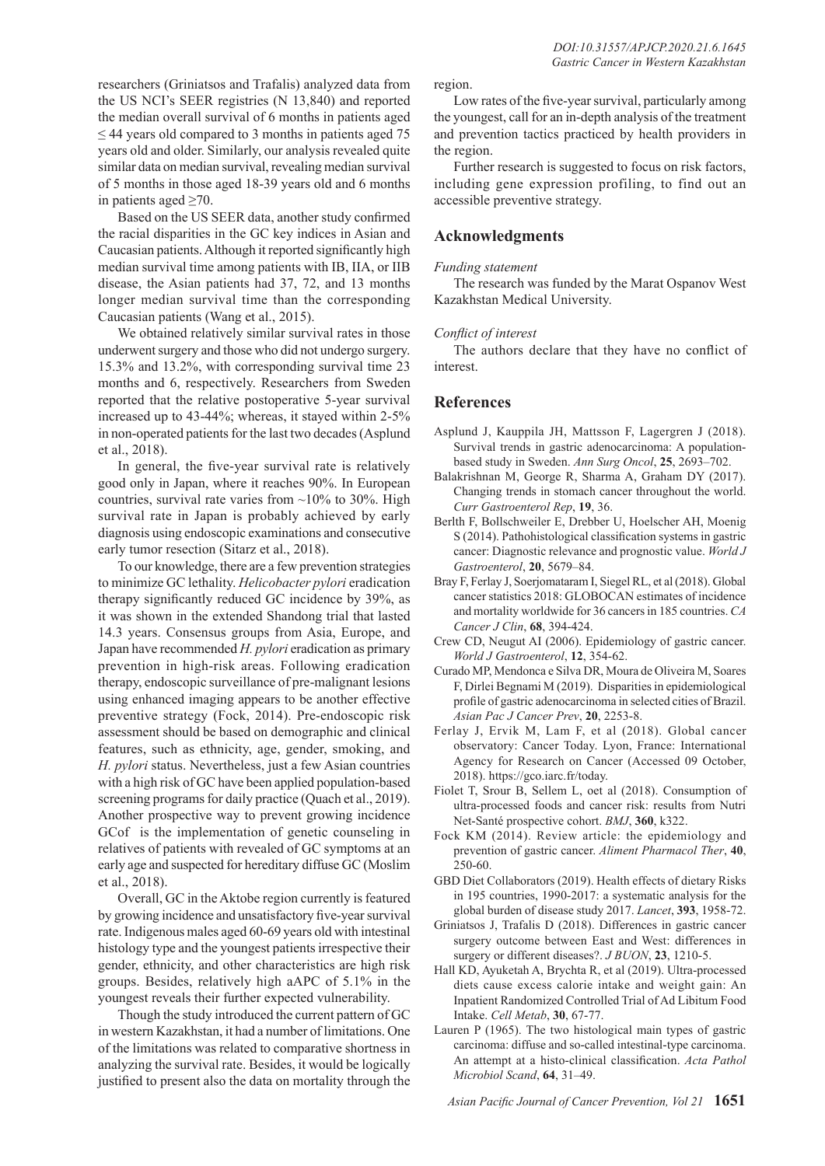researchers (Griniatsos and Trafalis) analyzed data from the US NCI's SEER registries (N 13,840) and reported the median overall survival of 6 months in patients aged  $\leq$  44 years old compared to 3 months in patients aged 75 years old and older. Similarly, our analysis revealed quite similar data on median survival, revealing median survival of 5 months in those aged 18-39 years old and 6 months in patients aged  $\geq 70$ .

Based on the US SEER data, another study confirmed the racial disparities in the GC key indices in Asian and Caucasian patients. Although it reported significantly high median survival time among patients with IB, IIA, or IIB disease, the Asian patients had 37, 72, and 13 months longer median survival time than the corresponding Caucasian patients (Wang et al., 2015).

We obtained relatively similar survival rates in those underwent surgery and those who did not undergo surgery. 15.3% and 13.2%, with corresponding survival time 23 months and 6, respectively. Researchers from Sweden reported that the relative postoperative 5-year survival increased up to 43-44%; whereas, it stayed within 2-5% in non-operated patients for the last two decades (Asplund et al., 2018).

In general, the five-year survival rate is relatively good only in Japan, where it reaches 90%. In European countries, survival rate varies from  $\sim$ 10% to 30%. High survival rate in Japan is probably achieved by early diagnosis using endoscopic examinations and consecutive early tumor resection (Sitarz et al., 2018).

To our knowledge, there are a few prevention strategies to minimize GC lethality. *Helicobacter pylori* eradication therapy significantly reduced GC incidence by 39%, as it was shown in the extended Shandong trial that lasted 14.3 years. Consensus groups from Asia, Europe, and Japan have recommended *H. pylori* eradication as primary prevention in high-risk areas. Following eradication therapy, endoscopic surveillance of pre-malignant lesions using enhanced imaging appears to be another effective preventive strategy (Fock, 2014). Pre-endoscopic risk assessment should be based on demographic and clinical features, such as ethnicity, age, gender, smoking, and *H. pylori* status. Nevertheless, just a few Asian countries with a high risk of GC have been applied population-based screening programs for daily practice (Quach et al., 2019). Another prospective way to prevent growing incidence GCof is the implementation of genetic counseling in relatives of patients with revealed of GC symptoms at an early age and suspected for hereditary diffuse GC (Moslim et al., 2018).

Overall, GC in the Aktobe region currently is featured by growing incidence and unsatisfactory five-year survival rate. Indigenous males aged 60-69 years old with intestinal histology type and the youngest patients irrespective their gender, ethnicity, and other characteristics are high risk groups. Besides, relatively high aAPC of 5.1% in the youngest reveals their further expected vulnerability.

Though the study introduced the current pattern of GC in western Kazakhstan, it had a number of limitations. One of the limitations was related to comparative shortness in analyzing the survival rate. Besides, it would be logically justified to present also the data on mortality through the

Low rates of the five-year survival, particularly among the youngest, call for an in-depth analysis of the treatment and prevention tactics practiced by health providers in the region.

Further research is suggested to focus on risk factors, including gene expression profiling, to find out an accessible preventive strategy.

# **Acknowledgments**

## *Funding statement*

The research was funded by the Marat Ospanov West Kazakhstan Medical University.

## *Conflict of interest*

The authors declare that they have no conflict of interest.

# **References**

- Asplund J, Kauppila JH, Mattsson F, Lagergren J (2018). Survival trends in gastric adenocarcinoma: A populationbased study in Sweden. *Ann Surg Oncol*, **25**, 2693–702.
- Balakrishnan M, George R, Sharma A, Graham DY (2017). Changing trends in stomach cancer throughout the world. *Curr Gastroenterol Rep*, **19**, 36.
- Berlth F, Bollschweiler E, Drebber U, Hoelscher AH, Moenig S (2014). Pathohistological classification systems in gastric cancer: Diagnostic relevance and prognostic value. *World J Gastroenterol*, **20**, 5679–84.
- Bray F, Ferlay J, Soerjomataram I, Siegel RL, et al (2018). Global cancer statistics 2018: GLOBOCAN estimates of incidence and mortality worldwide for 36 cancers in 185 countries. *CA Cancer J Clin*, **68**, 394-424.
- Crew CD, Neugut AI (2006). Epidemiology of gastric cancer. *World J Gastroenterol*, **12**, 354-62.
- Curado MP, Mendonca e Silva DR, Moura de Oliveira M, Soares F, Dirlei Begnami M (2019). Disparities in epidemiological profile of gastric adenocarcinoma in selected cities of Brazil. *Asian Pac J Cancer Prev*, **20**, 2253-8.
- Ferlay J, Ervik M, Lam F, et al (2018). Global cancer observatory: Cancer Today. Lyon, France: International Agency for Research on Cancer (Accessed 09 October, 2018). https://gco.iarc.fr/today.
- Fiolet T, Srour B, Sellem L, oet al (2018). Consumption of ultra-processed foods and cancer risk: results from Nutri Net-Santé prospective cohort. *BMJ*, **360**, k322.
- Fock KM (2014). Review article: the epidemiology and prevention of gastric cancer. *Aliment Pharmacol Ther*, **40**, 250-60.
- GBD Diet Collaborators (2019). Health effects of dietary Risks in 195 countries, 1990-2017: a systematic analysis for the global burden of disease study 2017. *Lancet*, **393**, 1958-72.
- Griniatsos J, Trafalis D (2018). Differences in gastric cancer surgery outcome between East and West: differences in surgery or different diseases?. *J BUON*, **23**, 1210-5.
- Hall KD, Ayuketah A, Brychta R, et al (2019). Ultra-processed diets cause excess calorie intake and weight gain: An Inpatient Randomized Controlled Trial of Ad Libitum Food Intake. *Cell Metab*, **30**, 67-77.
- Lauren P (1965). The two histological main types of gastric carcinoma: diffuse and so-called intestinal-type carcinoma. An attempt at a histo-clinical classification. *Acta Pathol Microbiol Scand*, **64**, 31–49.